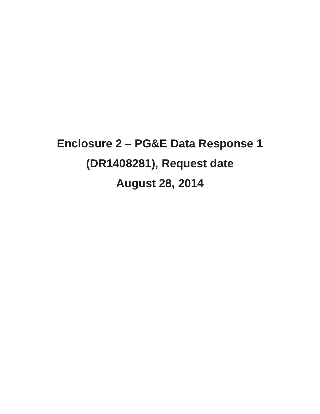# **Enclosure 2 – PG&E Data Response 1 (DR1408281), Request date August 28, 2014**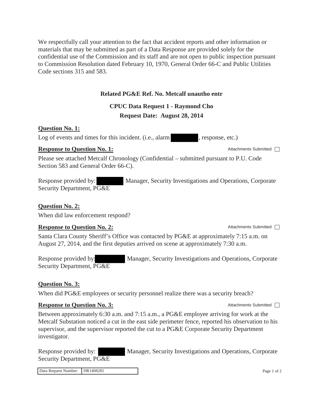We respectfully call your attention to the fact that accident reports and other information or materials that may be submitted as part of a Data Response are provided solely for the confidential use of the Commission and its staff and are not open to public inspection pursuant to Commission Resolution dated February 10, 1970, General Order 66-C and Public Utilities Code sections 315 and 583.

#### **Related PG&E Ref. No. Metcalf unautho entr**

## **CPUC Data Request 1 - Raymond Cho**

### **Request Date: August 28, 2014**

#### **Question No. 1:**

Log of events and times for this incident. (i.e., alarm , response, etc.)

#### **Response to Question No. 1:** Attachments Submitted □

Please see attached Metcalf Chronology (Confidential – submitted pursuant to P.U. Code Section 583 and General Order 66-C).

Response provided by: Manager, Security Investigations and Operations, Corporate Security Department, PG&E

#### **Question No. 2:**

When did law enforcement respond?

#### **Response to Question No. 2:** Attachments Submitted □

Santa Clara County Sheriff's Office was contacted by PG&E at approximately 7:15 a.m. on August 27, 2014, and the first deputies arrived on scene at approximately 7:30 a.m.

Response provided by: Manager, Security Investigations and Operations, Corporate Security Department, PG&E

#### **Question No. 3:**

When did PG&E employees or security personnel realize there was a security breach?

#### **Response to Question No. 3:** Attachments Submitted  $\Box$

Between approximately 6:30 a.m. and 7:15 a.m., a PG&E employee arriving for work at the Metcalf Substation noticed a cut in the east side perimeter fence, reported his observation to his supervisor, and the supervisor reported the cut to a PG&E Corporate Security Department investigator.

Response provided by: Manager, Security Investigations and Operations, Corporate Security Department, PG&E

Data Request Number: DR1408281 Page 1 of 2